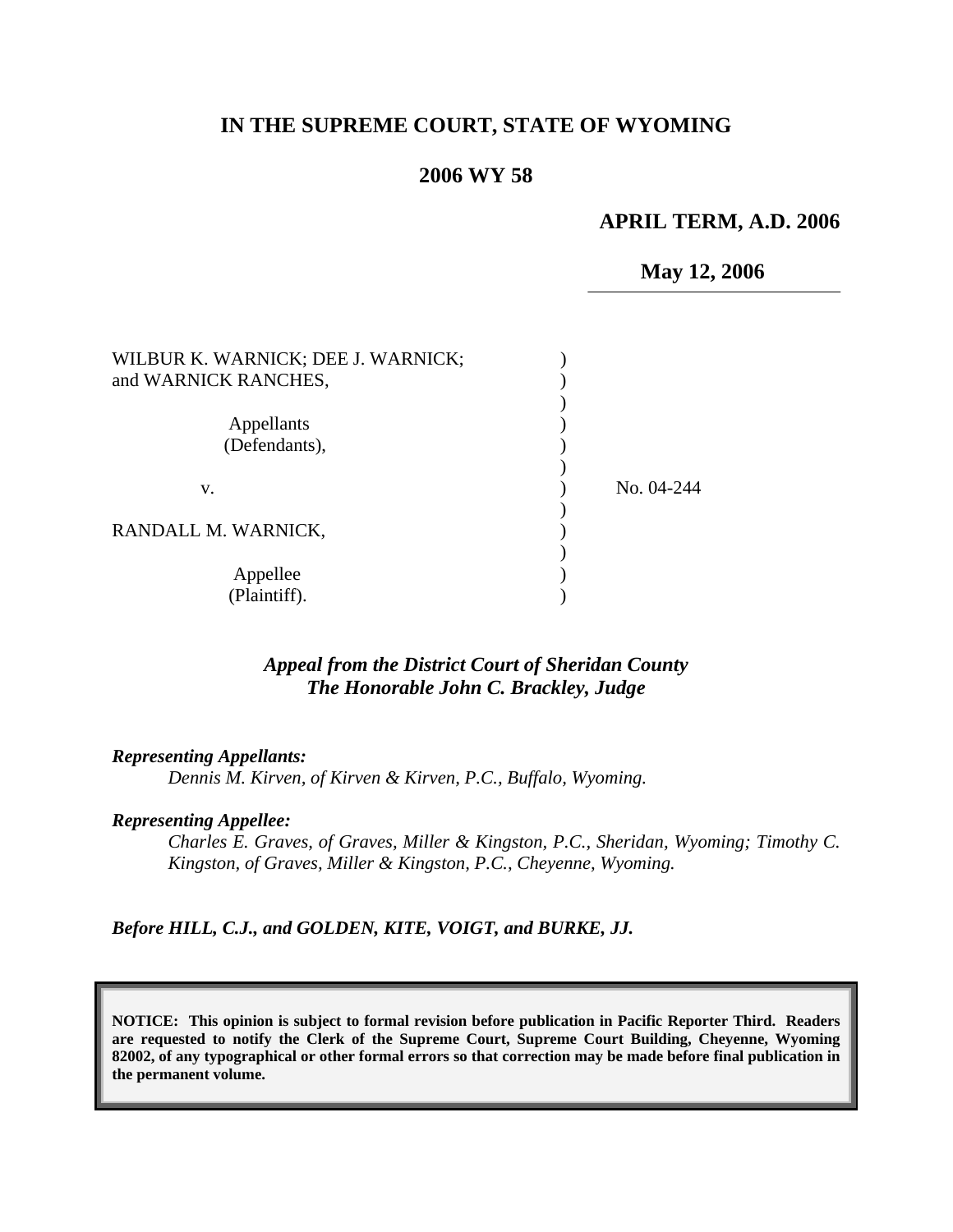# **IN THE SUPREME COURT, STATE OF WYOMING**

# **2006 WY 58**

### **APRIL TERM, A.D. 2006**

 **May 12, 2006**

| WILBUR K. WARNICK; DEE J. WARNICK;<br>and WARNICK RANCHES, |            |
|------------------------------------------------------------|------------|
| Appellants                                                 |            |
| (Defendants),                                              |            |
| v.                                                         | No. 04-244 |
| RANDALL M. WARNICK,                                        |            |
| Appellee<br>(Plaintiff).                                   |            |

# *Appeal from the District Court of Sheridan County The Honorable John C. Brackley, Judge*

*Representing Appellants:* 

*Dennis M. Kirven, of Kirven & Kirven, P.C., Buffalo, Wyoming.* 

#### *Representing Appellee:*

*Charles E. Graves, of Graves, Miller & Kingston, P.C., Sheridan, Wyoming; Timothy C. Kingston, of Graves, Miller & Kingston, P.C., Cheyenne, Wyoming.* 

*Before HILL, C.J., and GOLDEN, KITE, VOIGT, and BURKE, JJ.* 

**NOTICE: This opinion is subject to formal revision before publication in Pacific Reporter Third. Readers are requested to notify the Clerk of the Supreme Court, Supreme Court Building, Cheyenne, Wyoming 82002, of any typographical or other formal errors so that correction may be made before final publication in the permanent volume.**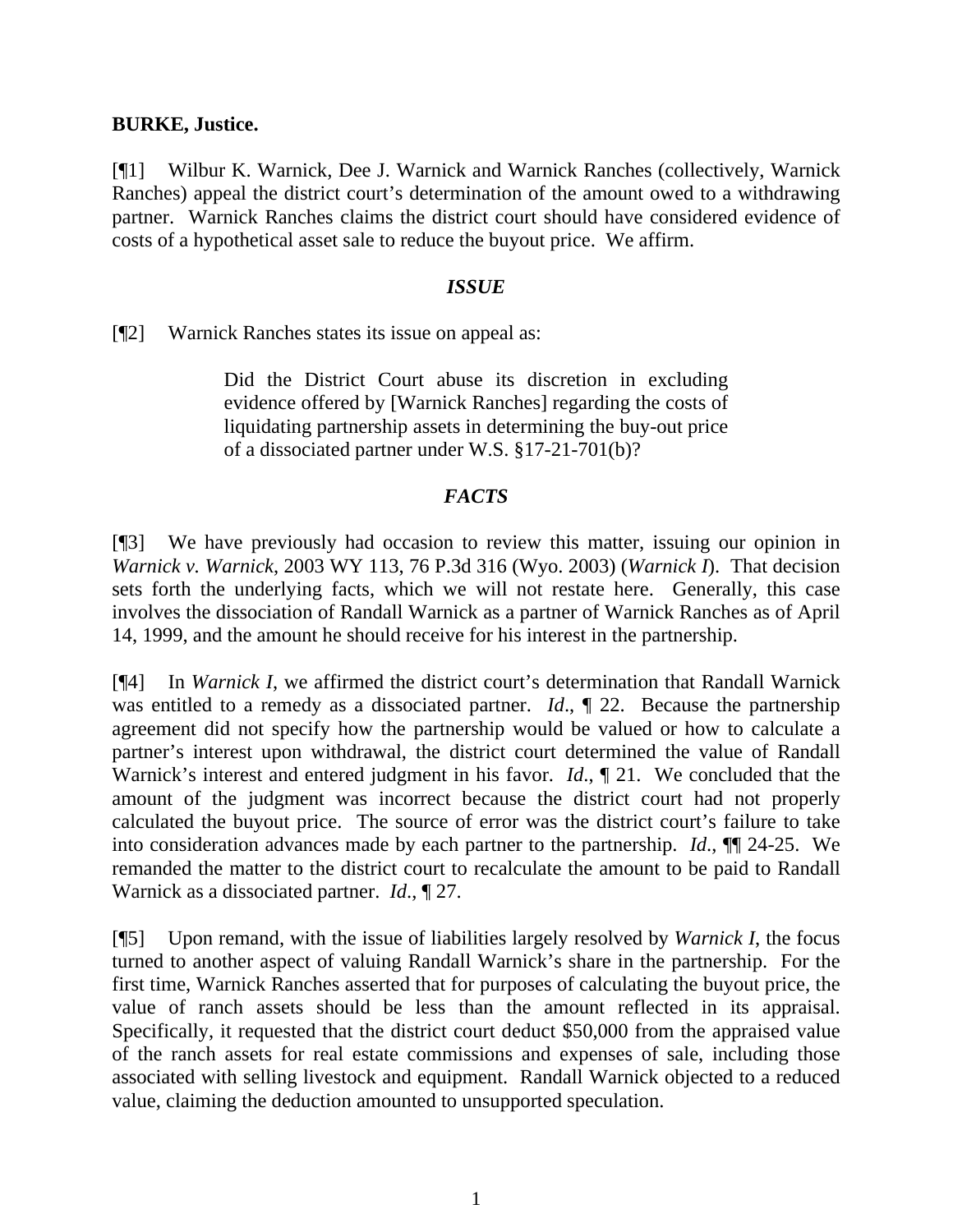### **BURKE, Justice.**

[¶1] Wilbur K. Warnick, Dee J. Warnick and Warnick Ranches (collectively, Warnick Ranches) appeal the district court's determination of the amount owed to a withdrawing partner. Warnick Ranches claims the district court should have considered evidence of costs of a hypothetical asset sale to reduce the buyout price. We affirm.

#### *ISSUE*

[¶2] Warnick Ranches states its issue on appeal as:

Did the District Court abuse its discretion in excluding evidence offered by [Warnick Ranches] regarding the costs of liquidating partnership assets in determining the buy-out price of a dissociated partner under W.S. §17-21-701(b)?

## *FACTS*

[¶3] We have previously had occasion to review this matter, issuing our opinion in *Warnick v. Warnick*, 2003 WY 113, 76 P.3d 316 (Wyo. 2003) (*Warnick I*). That decision sets forth the underlying facts, which we will not restate here. Generally, this case involves the dissociation of Randall Warnick as a partner of Warnick Ranches as of April 14, 1999, and the amount he should receive for his interest in the partnership.

[¶4] In *Warnick I*, we affirmed the district court's determination that Randall Warnick was entitled to a remedy as a dissociated partner. *Id.*,  $\parallel$  22. Because the partnership agreement did not specify how the partnership would be valued or how to calculate a partner's interest upon withdrawal, the district court determined the value of Randall Warnick's interest and entered judgment in his favor. *Id*., ¶ 21. We concluded that the amount of the judgment was incorrect because the district court had not properly calculated the buyout price. The source of error was the district court's failure to take into consideration advances made by each partner to the partnership. *Id*., ¶¶ 24-25. We remanded the matter to the district court to recalculate the amount to be paid to Randall Warnick as a dissociated partner. *Id*., ¶ 27.

[¶5] Upon remand, with the issue of liabilities largely resolved by *Warnick I*, the focus turned to another aspect of valuing Randall Warnick's share in the partnership. For the first time, Warnick Ranches asserted that for purposes of calculating the buyout price, the value of ranch assets should be less than the amount reflected in its appraisal. Specifically, it requested that the district court deduct \$50,000 from the appraised value of the ranch assets for real estate commissions and expenses of sale, including those associated with selling livestock and equipment. Randall Warnick objected to a reduced value, claiming the deduction amounted to unsupported speculation.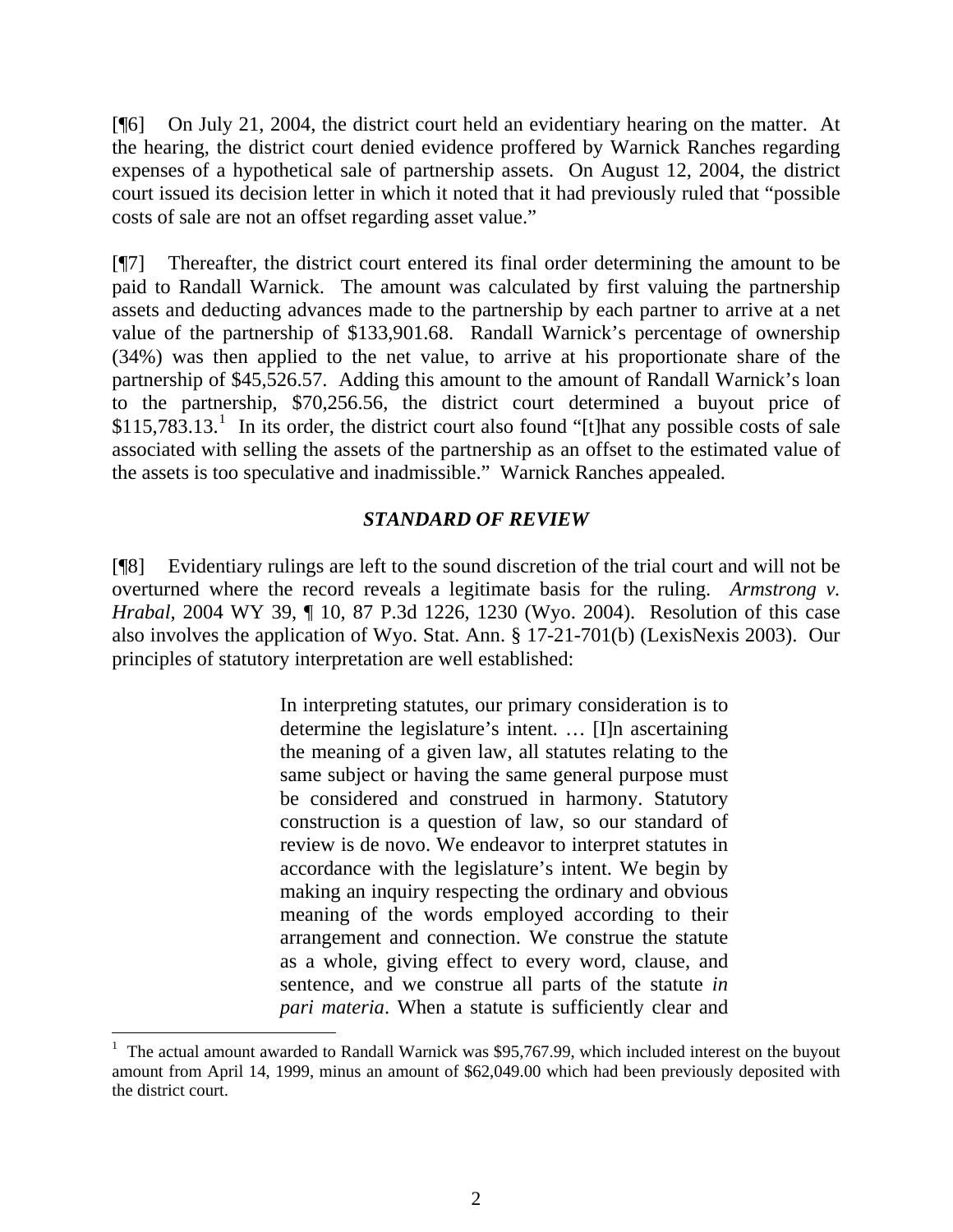[¶6] On July 21, 2004, the district court held an evidentiary hearing on the matter. At the hearing, the district court denied evidence proffered by Warnick Ranches regarding expenses of a hypothetical sale of partnership assets. On August 12, 2004, the district court issued its decision letter in which it noted that it had previously ruled that "possible costs of sale are not an offset regarding asset value."

[¶7] Thereafter, the district court entered its final order determining the amount to be paid to Randall Warnick. The amount was calculated by first valuing the partnership assets and deducting advances made to the partnership by each partner to arrive at a net value of the partnership of \$133,901.68. Randall Warnick's percentage of ownership (34%) was then applied to the net value, to arrive at his proportionate share of the partnership of \$45,526.57. Adding this amount to the amount of Randall Warnick's loan to the partnership, \$70,256.56, the district court determined a buyout price of  $$115,783.13$  $$115,783.13$  $$115,783.13$ .<sup>1</sup> In its order, the district court also found "[t]hat any possible costs of sale associated with selling the assets of the partnership as an offset to the estimated value of the assets is too speculative and inadmissible." Warnick Ranches appealed.

# *STANDARD OF REVIEW*

[¶8] Evidentiary rulings are left to the sound discretion of the trial court and will not be overturned where the record reveals a legitimate basis for the ruling. *Armstrong v. Hrabal*, 2004 WY 39, ¶ 10, 87 P.3d 1226, 1230 (Wyo. 2004). Resolution of this case also involves the application of Wyo. Stat. Ann. § 17-21-701(b) (LexisNexis 2003). Our principles of statutory interpretation are well established:

> In interpreting statutes, our primary consideration is to determine the legislature's intent. … [I]n ascertaining the meaning of a given law, all statutes relating to the same subject or having the same general purpose must be considered and construed in harmony. Statutory construction is a question of law, so our standard of review is de novo. We endeavor to interpret statutes in accordance with the legislature's intent. We begin by making an inquiry respecting the ordinary and obvious meaning of the words employed according to their arrangement and connection. We construe the statute as a whole, giving effect to every word, clause, and sentence, and we construe all parts of the statute *in pari materia*. When a statute is sufficiently clear and

<span id="page-2-0"></span><sup>1</sup> The actual amount awarded to Randall Warnick was \$95,767.99, which included interest on the buyout amount from April 14, 1999, minus an amount of \$62,049.00 which had been previously deposited with the district court.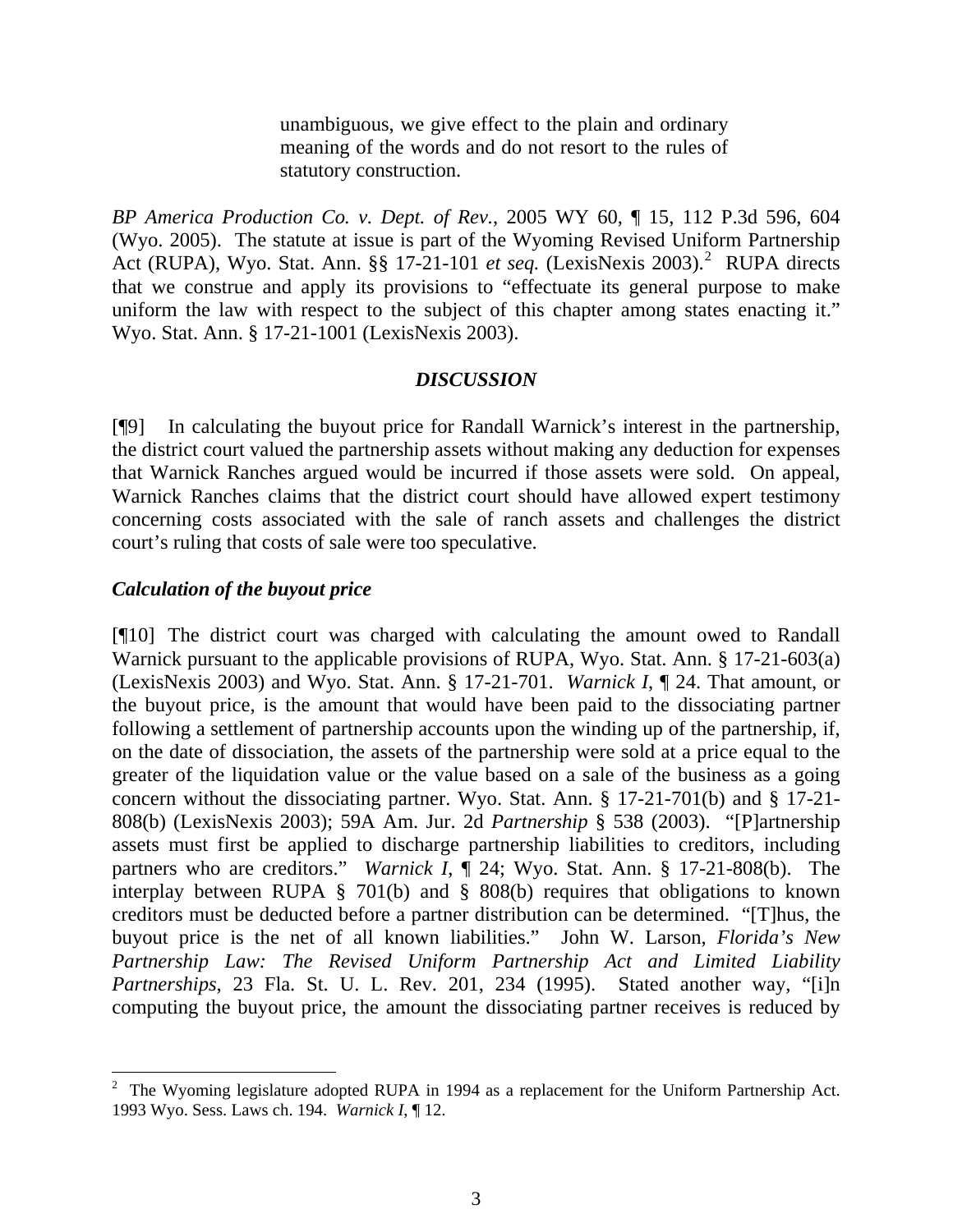unambiguous, we give effect to the plain and ordinary meaning of the words and do not resort to the rules of statutory construction.

*BP America Production Co. v. Dept. of Rev.*, 2005 WY 60, ¶ 15, 112 P.3d 596, 604 (Wyo. 2005). The statute at issue is part of the Wyoming Revised Uniform Partnership Act (RUPA), Wyo. Stat. Ann. §§ 17-[2](#page-3-0)1-101 et seq. (LexisNexis 2003).<sup>2</sup> RUPA directs that we construe and apply its provisions to "effectuate its general purpose to make uniform the law with respect to the subject of this chapter among states enacting it." Wyo. Stat. Ann. § 17-21-1001 (LexisNexis 2003).

#### *DISCUSSION*

[¶9] In calculating the buyout price for Randall Warnick's interest in the partnership, the district court valued the partnership assets without making any deduction for expenses that Warnick Ranches argued would be incurred if those assets were sold. On appeal, Warnick Ranches claims that the district court should have allowed expert testimony concerning costs associated with the sale of ranch assets and challenges the district court's ruling that costs of sale were too speculative.

#### *Calculation of the buyout price*

 $\overline{a}$ 

[¶10] The district court was charged with calculating the amount owed to Randall Warnick pursuant to the applicable provisions of RUPA, Wyo. Stat. Ann. § 17-21-603(a) (LexisNexis 2003) and Wyo. Stat. Ann. § 17-21-701. *Warnick I*, ¶ 24. That amount, or the buyout price, is the amount that would have been paid to the dissociating partner following a settlement of partnership accounts upon the winding up of the partnership, if, on the date of dissociation, the assets of the partnership were sold at a price equal to the greater of the liquidation value or the value based on a sale of the business as a going concern without the dissociating partner. Wyo. Stat. Ann. § 17-21-701(b) and § 17-21- 808(b) (LexisNexis 2003); 59A Am. Jur. 2d *Partnership* § 538 (2003). "[P]artnership assets must first be applied to discharge partnership liabilities to creditors, including partners who are creditors." *Warnick I*, ¶ 24; Wyo. Stat. Ann. § 17-21-808(b). The interplay between RUPA § 701(b) and § 808(b) requires that obligations to known creditors must be deducted before a partner distribution can be determined. "[T]hus, the buyout price is the net of all known liabilities." John W. Larson, *Florida's New Partnership Law: The Revised Uniform Partnership Act and Limited Liability Partnerships*, 23 Fla. St. U. L. Rev. 201, 234 (1995). Stated another way, "[i]n computing the buyout price, the amount the dissociating partner receives is reduced by

<span id="page-3-0"></span><sup>&</sup>lt;sup>2</sup> The Wyoming legislature adopted RUPA in 1994 as a replacement for the Uniform Partnership Act. 1993 Wyo. Sess. Laws ch. 194. *Warnick I*, ¶ 12.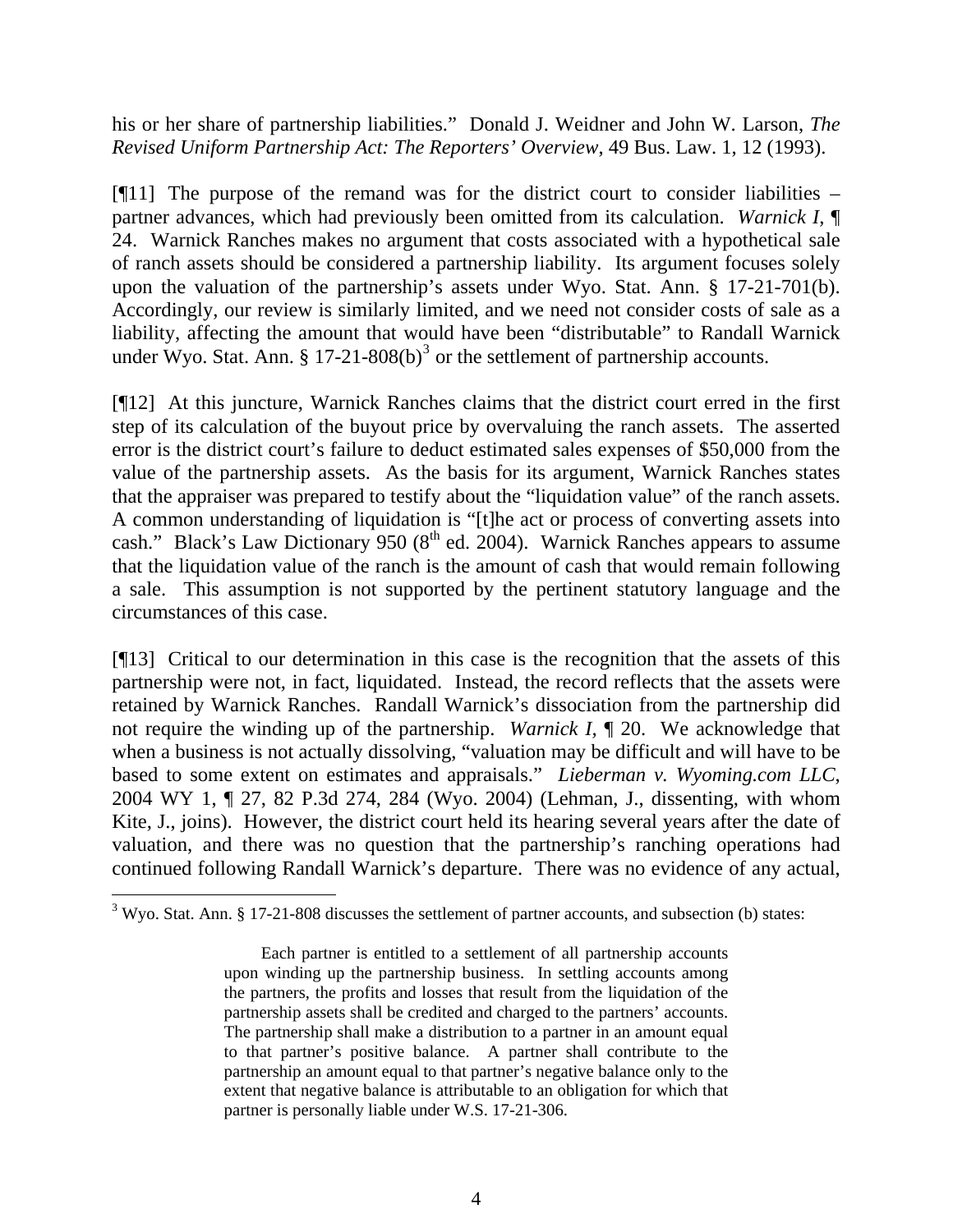his or her share of partnership liabilities." Donald J. Weidner and John W. Larson, *The Revised Uniform Partnership Act: The Reporters' Overview*, 49 Bus. Law. 1, 12 (1993).

[¶11] The purpose of the remand was for the district court to consider liabilities – partner advances, which had previously been omitted from its calculation. *Warnick I*, ¶ 24. Warnick Ranches makes no argument that costs associated with a hypothetical sale of ranch assets should be considered a partnership liability. Its argument focuses solely upon the valuation of the partnership's assets under Wyo. Stat. Ann. § 17-21-701(b). Accordingly, our review is similarly limited, and we need not consider costs of sale as a liability, affecting the amount that would have been "distributable" to Randall Warnick under Wyo. Stat. Ann.  $\S 17-21-808(b)^3$  $\S 17-21-808(b)^3$  or the settlement of partnership accounts.

[¶12] At this juncture, Warnick Ranches claims that the district court erred in the first step of its calculation of the buyout price by overvaluing the ranch assets. The asserted error is the district court's failure to deduct estimated sales expenses of \$50,000 from the value of the partnership assets. As the basis for its argument, Warnick Ranches states that the appraiser was prepared to testify about the "liquidation value" of the ranch assets. A common understanding of liquidation is "[t]he act or process of converting assets into cash." Black's Law Dictionary 950 ( $8<sup>th</sup>$  ed. 2004). Warnick Ranches appears to assume that the liquidation value of the ranch is the amount of cash that would remain following a sale. This assumption is not supported by the pertinent statutory language and the circumstances of this case.

[¶13] Critical to our determination in this case is the recognition that the assets of this partnership were not, in fact, liquidated. Instead, the record reflects that the assets were retained by Warnick Ranches. Randall Warnick's dissociation from the partnership did not require the winding up of the partnership. *Warnick I,* ¶ 20. We acknowledge that when a business is not actually dissolving, "valuation may be difficult and will have to be based to some extent on estimates and appraisals." *Lieberman v. Wyoming.com LLC*, 2004 WY 1, ¶ 27, 82 P.3d 274, 284 (Wyo. 2004) (Lehman, J., dissenting, with whom Kite, J., joins). However, the district court held its hearing several years after the date of valuation, and there was no question that the partnership's ranching operations had continued following Randall Warnick's departure. There was no evidence of any actual,

<span id="page-4-0"></span> $3$  Wyo. Stat. Ann. § 17-21-808 discusses the settlement of partner accounts, and subsection (b) states:

Each partner is entitled to a settlement of all partnership accounts upon winding up the partnership business. In settling accounts among the partners, the profits and losses that result from the liquidation of the partnership assets shall be credited and charged to the partners' accounts. The partnership shall make a distribution to a partner in an amount equal to that partner's positive balance. A partner shall contribute to the partnership an amount equal to that partner's negative balance only to the extent that negative balance is attributable to an obligation for which that partner is personally liable under W.S. 17-21-306.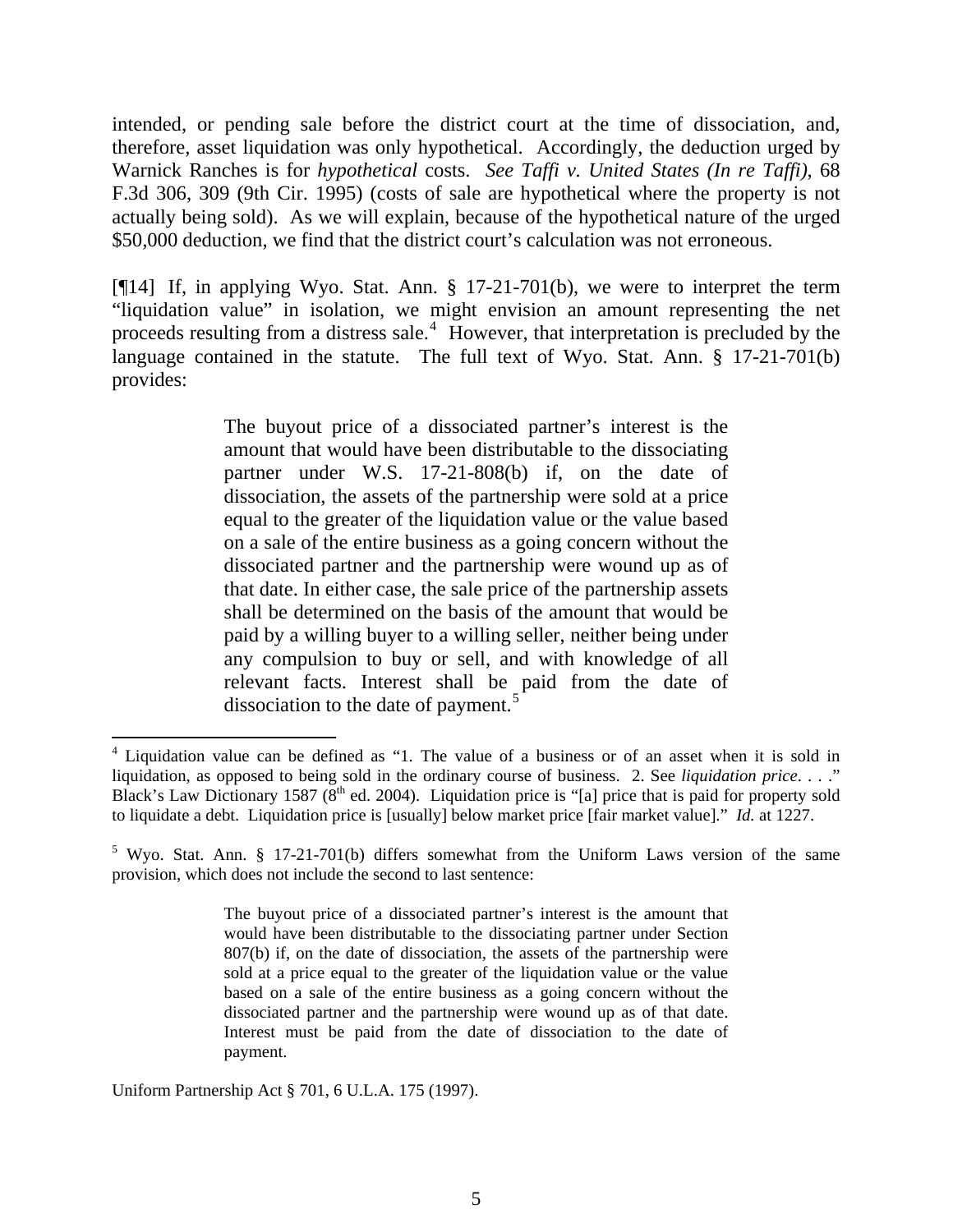intended, or pending sale before the district court at the time of dissociation, and, therefore, asset liquidation was only hypothetical. Accordingly, the deduction urged by Warnick Ranches is for *hypothetical* costs. *See Taffi v. United States (In re Taffi)*, 68 F.3d 306, 309 (9th Cir. 1995) (costs of sale are hypothetical where the property is not actually being sold). As we will explain, because of the hypothetical nature of the urged \$50,000 deduction, we find that the district court's calculation was not erroneous.

[¶14] If, in applying Wyo. Stat. Ann. § 17-21-701(b), we were to interpret the term "liquidation value" in isolation, we might envision an amount representing the net proceeds resulting from a distress sale.<sup>[4](#page-5-0)</sup> However, that interpretation is precluded by the language contained in the statute. The full text of Wyo. Stat. Ann. § 17-21-701(b) provides:

> The buyout price of a dissociated partner's interest is the amount that would have been distributable to the dissociating partner under W.S. 17-21-808(b) if, on the date of dissociation, the assets of the partnership were sold at a price equal to the greater of the liquidation value or the value based on a sale of the entire business as a going concern without the dissociated partner and the partnership were wound up as of that date. In either case, the sale price of the partnership assets shall be determined on the basis of the amount that would be paid by a willing buyer to a willing seller, neither being under any compulsion to buy or sell, and with knowledge of all relevant facts. Interest shall be paid from the date of dissociation to the date of payment.<sup>[5](#page-5-1)</sup>

Uniform Partnership Act § 701, 6 U.L.A. 175 (1997).

<span id="page-5-0"></span><sup>&</sup>lt;sup>4</sup> Liquidation value can be defined as "1. The value of a business or of an asset when it is sold in liquidation, as opposed to being sold in the ordinary course of business. 2. See *liquidation price*. . . ." Black's Law Dictionary 1587 ( $8<sup>th</sup>$  ed. 2004). Liquidation price is "[a] price that is paid for property sold to liquidate a debt. Liquidation price is [usually] below market price [fair market value]." *Id.* at 1227.

<span id="page-5-1"></span> $5$  Wyo. Stat. Ann. § 17-21-701(b) differs somewhat from the Uniform Laws version of the same provision, which does not include the second to last sentence:

The buyout price of a dissociated partner's interest is the amount that would have been distributable to the dissociating partner under Section 807(b) if, on the date of dissociation, the assets of the partnership were sold at a price equal to the greater of the liquidation value or the value based on a sale of the entire business as a going concern without the dissociated partner and the partnership were wound up as of that date. Interest must be paid from the date of dissociation to the date of payment.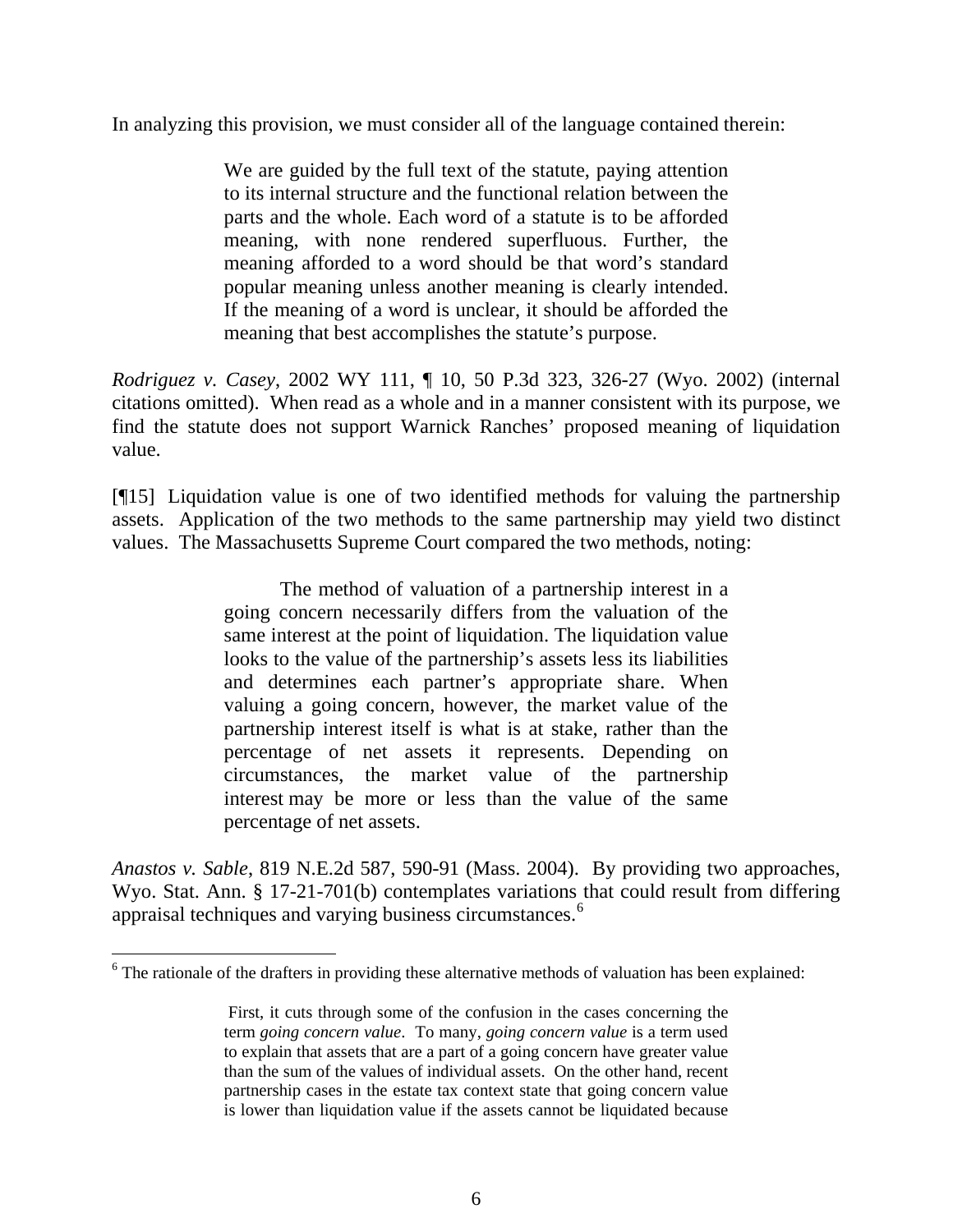In analyzing this provision, we must consider all of the language contained therein:

We are guided by the full text of the statute, paying attention to its internal structure and the functional relation between the parts and the whole. Each word of a statute is to be afforded meaning, with none rendered superfluous. Further, the meaning afforded to a word should be that word's standard popular meaning unless another meaning is clearly intended. If the meaning of a word is unclear, it should be afforded the meaning that best accomplishes the statute's purpose.

*Rodriguez v. Casey*, 2002 WY 111, ¶ 10, 50 P.3d 323, 326-27 (Wyo. 2002) (internal citations omitted). When read as a whole and in a manner consistent with its purpose, we find the statute does not support Warnick Ranches' proposed meaning of liquidation value.

[¶15] Liquidation value is one of two identified methods for valuing the partnership assets. Application of the two methods to the same partnership may yield two distinct values. The Massachusetts Supreme Court compared the two methods, noting:

> The method of valuation of a partnership interest in a going concern necessarily differs from the valuation of the same interest at the point of liquidation. The liquidation value looks to the value of the partnership's assets less its liabilities and determines each partner's appropriate share. When valuing a going concern, however, the market value of the partnership interest itself is what is at stake, rather than the percentage of net assets it represents. Depending on circumstances, the market value of the partnership interest may be more or less than the value of the same percentage of net assets.

*Anastos v. Sable*, 819 N.E.2d 587, 590-91 (Mass. 2004). By providing two approaches, Wyo. Stat. Ann. § 17-21-701(b) contemplates variations that could result from differing appraisal techniques and varying business circumstances.<sup>[6](#page-6-0)</sup>

<span id="page-6-0"></span> $6$  The rationale of the drafters in providing these alternative methods of valuation has been explained:

First, it cuts through some of the confusion in the cases concerning the term *going concern value*. To many, *going concern value* is a term used to explain that assets that are a part of a going concern have greater value than the sum of the values of individual assets. On the other hand, recent partnership cases in the estate tax context state that going concern value is lower than liquidation value if the assets cannot be liquidated because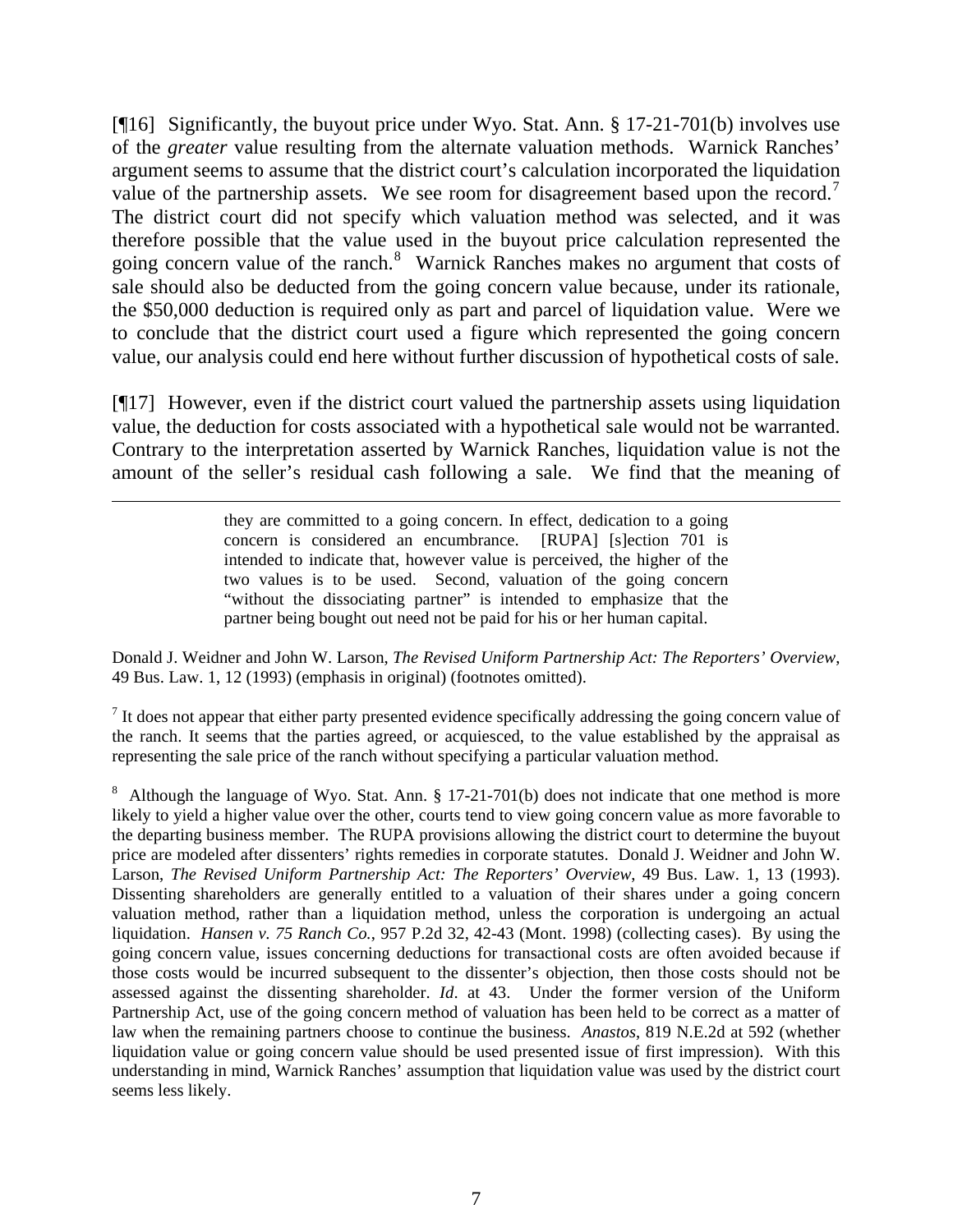[¶16] Significantly, the buyout price under Wyo. Stat. Ann. § 17-21-701(b) involves use of the *greater* value resulting from the alternate valuation methods. Warnick Ranches' argument seems to assume that the district court's calculation incorporated the liquidation value of the partnership assets. We see room for disagreement based upon the record.<sup>[7](#page-7-0)</sup> The district court did not specify which valuation method was selected, and it was therefore possible that the value used in the buyout price calculation represented the going concern value of the ranch.<sup>[8](#page-7-1)</sup> Warnick Ranches makes no argument that costs of sale should also be deducted from the going concern value because, under its rationale, the \$50,000 deduction is required only as part and parcel of liquidation value. Were we to conclude that the district court used a figure which represented the going concern value, our analysis could end here without further discussion of hypothetical costs of sale.

[¶17] However, even if the district court valued the partnership assets using liquidation value, the deduction for costs associated with a hypothetical sale would not be warranted. Contrary to the interpretation asserted by Warnick Ranches, liquidation value is not the amount of the seller's residual cash following a sale. We find that the meaning of

 $\overline{a}$ 

they are committed to a going concern. In effect, dedication to a going concern is considered an encumbrance. [RUPA] [s]ection 701 is intended to indicate that, however value is perceived, the higher of the two values is to be used. Second, valuation of the going concern "without the dissociating partner" is intended to emphasize that the partner being bought out need not be paid for his or her human capital.

Donald J. Weidner and John W. Larson, *The Revised Uniform Partnership Act: The Reporters' Overview*, 49 Bus. Law. 1, 12 (1993) (emphasis in original) (footnotes omitted).

<span id="page-7-0"></span> $<sup>7</sup>$  It does not appear that either party presented evidence specifically addressing the going concern value of</sup> the ranch. It seems that the parties agreed, or acquiesced, to the value established by the appraisal as representing the sale price of the ranch without specifying a particular valuation method.

<span id="page-7-1"></span><sup>8</sup> Although the language of Wyo. Stat. Ann.  $\S 17-21-701(b)$  does not indicate that one method is more likely to yield a higher value over the other, courts tend to view going concern value as more favorable to the departing business member. The RUPA provisions allowing the district court to determine the buyout price are modeled after dissenters' rights remedies in corporate statutes. Donald J. Weidner and John W. Larson, *The Revised Uniform Partnership Act: The Reporters' Overview*, 49 Bus. Law. 1, 13 (1993). Dissenting shareholders are generally entitled to a valuation of their shares under a going concern valuation method, rather than a liquidation method, unless the corporation is undergoing an actual liquidation. *Hansen v. 75 Ranch Co.*, 957 P.2d 32, 42-43 (Mont. 1998) (collecting cases). By using the going concern value, issues concerning deductions for transactional costs are often avoided because if those costs would be incurred subsequent to the dissenter's objection, then those costs should not be assessed against the dissenting shareholder. *Id*. at 43. Under the former version of the Uniform Partnership Act, use of the going concern method of valuation has been held to be correct as a matter of law when the remaining partners choose to continue the business. *Anastos*, 819 N.E.2d at 592 (whether liquidation value or going concern value should be used presented issue of first impression). With this understanding in mind, Warnick Ranches' assumption that liquidation value was used by the district court seems less likely.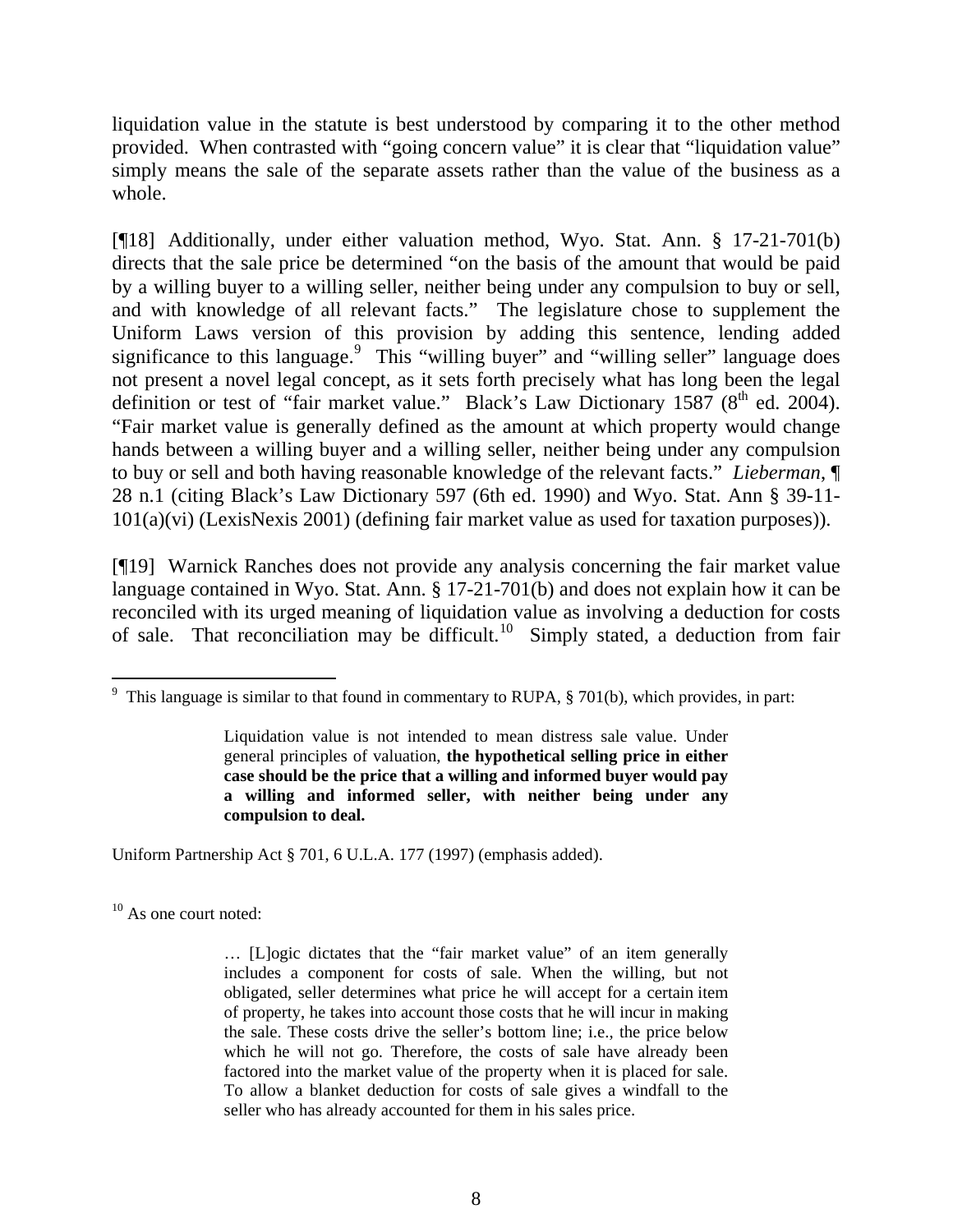liquidation value in the statute is best understood by comparing it to the other method provided. When contrasted with "going concern value" it is clear that "liquidation value" simply means the sale of the separate assets rather than the value of the business as a whole.

[¶18] Additionally, under either valuation method, Wyo. Stat. Ann. § 17-21-701(b) directs that the sale price be determined "on the basis of the amount that would be paid by a willing buyer to a willing seller, neither being under any compulsion to buy or sell, and with knowledge of all relevant facts." The legislature chose to supplement the Uniform Laws version of this provision by adding this sentence, lending added significance to this language.<sup>[9](#page-8-0)</sup> This "willing buyer" and "willing seller" language does not present a novel legal concept, as it sets forth precisely what has long been the legal definition or test of "fair market value." Black's Law Dictionary  $1587 (8^{th}$  ed. 2004). "Fair market value is generally defined as the amount at which property would change hands between a willing buyer and a willing seller, neither being under any compulsion to buy or sell and both having reasonable knowledge of the relevant facts." *Lieberman*, ¶ 28 n.1 (citing Black's Law Dictionary 597 (6th ed. 1990) and Wyo. Stat. Ann § 39-11- 101(a)(vi) (LexisNexis 2001) (defining fair market value as used for taxation purposes)).

[¶19] Warnick Ranches does not provide any analysis concerning the fair market value language contained in Wyo. Stat. Ann. § 17-21-701(b) and does not explain how it can be reconciled with its urged meaning of liquidation value as involving a deduction for costs of sale. That reconciliation may be difficult.<sup>[10](#page-8-1)</sup> Simply stated, a deduction from fair

Uniform Partnership Act § 701, 6 U.L.A. 177 (1997) (emphasis added).

<span id="page-8-1"></span> $10$  As one court noted:

<span id="page-8-0"></span> $\overline{a}$ <sup>9</sup> This language is similar to that found in commentary to RUPA,  $\S 701(b)$ , which provides, in part:

Liquidation value is not intended to mean distress sale value. Under general principles of valuation, **the hypothetical selling price in either case should be the price that a willing and informed buyer would pay a willing and informed seller, with neither being under any compulsion to deal.**

<sup>… [</sup>L]ogic dictates that the "fair market value" of an item generally includes a component for costs of sale. When the willing, but not obligated, seller determines what price he will accept for a certain item of property, he takes into account those costs that he will incur in making the sale. These costs drive the seller's bottom line; i.e., the price below which he will not go. Therefore, the costs of sale have already been factored into the market value of the property when it is placed for sale. To allow a blanket deduction for costs of sale gives a windfall to the seller who has already accounted for them in his sales price.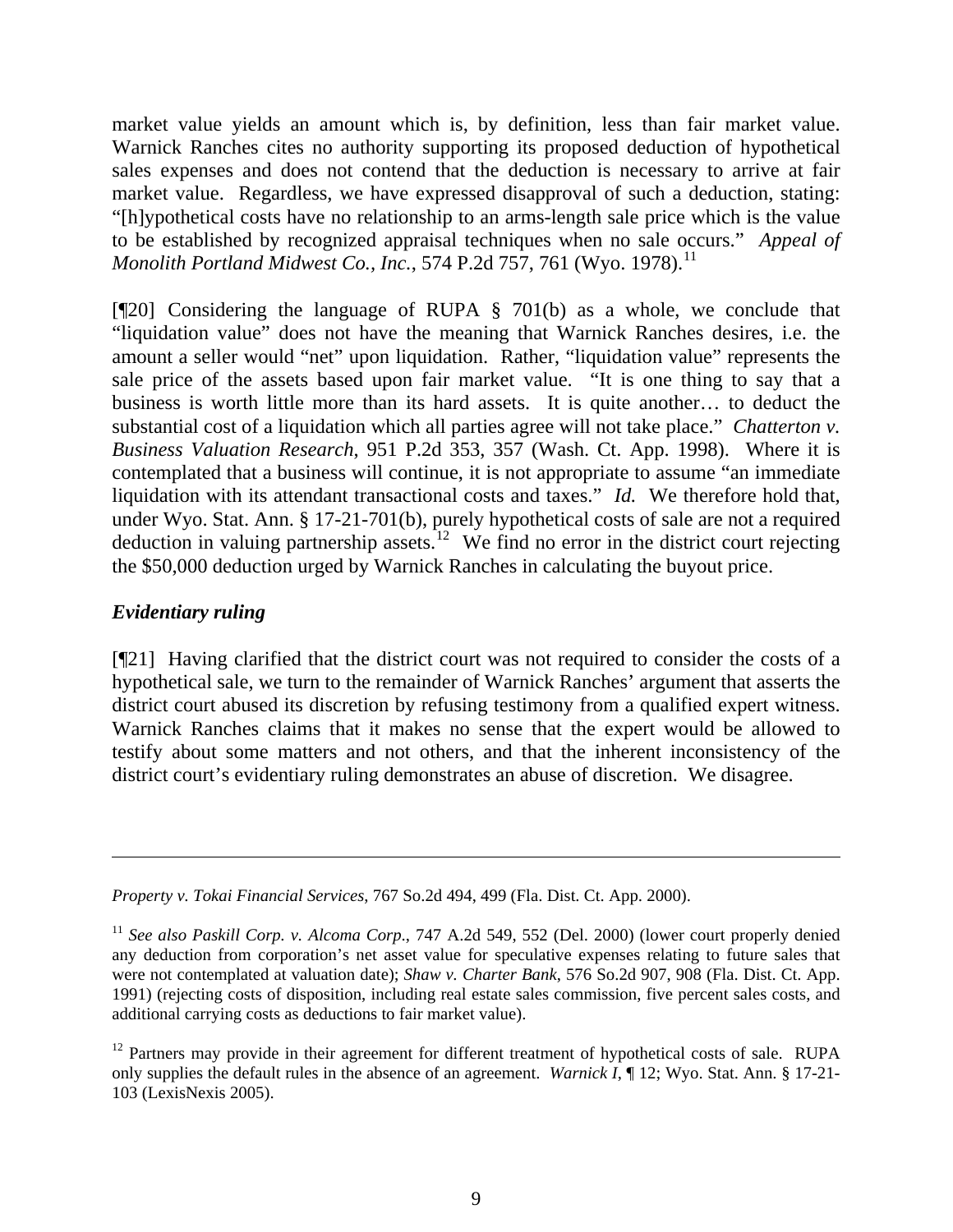market value yields an amount which is, by definition, less than fair market value. Warnick Ranches cites no authority supporting its proposed deduction of hypothetical sales expenses and does not contend that the deduction is necessary to arrive at fair market value. Regardless, we have expressed disapproval of such a deduction, stating: "[h]ypothetical costs have no relationship to an arms-length sale price which is the value to be established by recognized appraisal techniques when no sale occurs." *Appeal of Monolith Portland Midwest Co., Inc., 574 P.2d 757, 761 (Wyo. 1978).*<sup>[11](#page-9-0)</sup>

[¶20] Considering the language of RUPA § 701(b) as a whole, we conclude that "liquidation value" does not have the meaning that Warnick Ranches desires, i.e. the amount a seller would "net" upon liquidation. Rather, "liquidation value" represents the sale price of the assets based upon fair market value. "It is one thing to say that a business is worth little more than its hard assets. It is quite another… to deduct the substantial cost of a liquidation which all parties agree will not take place." *Chatterton v. Business Valuation Research*, 951 P.2d 353, 357 (Wash. Ct. App. 1998). Where it is contemplated that a business will continue, it is not appropriate to assume "an immediate liquidation with its attendant transactional costs and taxes." *Id.* We therefore hold that, under Wyo. Stat. Ann. § 17-21-701(b), purely hypothetical costs of sale are not a required deduction in valuing partnership assets.<sup>[12](#page-9-1)</sup> We find no error in the district court rejecting the \$50,000 deduction urged by Warnick Ranches in calculating the buyout price.

# *Evidentiary ruling*

 $\overline{a}$ 

[¶21] Having clarified that the district court was not required to consider the costs of a hypothetical sale, we turn to the remainder of Warnick Ranches' argument that asserts the district court abused its discretion by refusing testimony from a qualified expert witness. Warnick Ranches claims that it makes no sense that the expert would be allowed to testify about some matters and not others, and that the inherent inconsistency of the district court's evidentiary ruling demonstrates an abuse of discretion. We disagree.

*Property v. Tokai Financial Services*, 767 So.2d 494, 499 (Fla. Dist. Ct. App. 2000).

<span id="page-9-0"></span><sup>11</sup> *See also Paskill Corp. v. Alcoma Corp*., 747 A.2d 549, 552 (Del. 2000) (lower court properly denied any deduction from corporation's net asset value for speculative expenses relating to future sales that were not contemplated at valuation date); *Shaw v. Charter Bank*, 576 So.2d 907, 908 (Fla. Dist. Ct. App. 1991) (rejecting costs of disposition, including real estate sales commission, five percent sales costs, and additional carrying costs as deductions to fair market value).

<span id="page-9-1"></span> $12$  Partners may provide in their agreement for different treatment of hypothetical costs of sale. RUPA only supplies the default rules in the absence of an agreement. *Warnick I*, ¶ 12; Wyo. Stat. Ann. § 17-21- 103 (LexisNexis 2005).